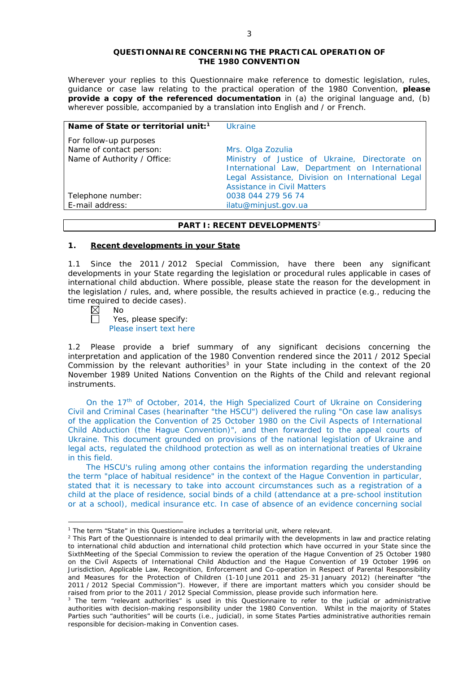### **QUESTIONNAIRE CONCERNING THE PRACTICAL OPERATION OF THE 1980 CONVENTION**

*Wherever your replies to this Questionnaire make reference to domestic legislation, rules, guidance or case law relating to the practical operation of the 1980 Convention, please provide a copy of the referenced documentation in (a) the original language and, (b) wherever possible, accompanied by a translation into English and / or French.* 

| Name of State or territorial unit: <sup>1</sup>                                  | <b>Ukraine</b>                                                                                                                                                                                                   |
|----------------------------------------------------------------------------------|------------------------------------------------------------------------------------------------------------------------------------------------------------------------------------------------------------------|
| For follow-up purposes<br>Name of contact person:<br>Name of Authority / Office: | Mrs. Olga Zozulia<br>Ministry of Justice of Ukraine, Directorate on<br>International Law, Department on International<br>Legal Assistance, Division on International Legal<br><b>Assistance in Civil Matters</b> |
| Telephone number:                                                                | 0038 044 279 56 74                                                                                                                                                                                               |
| E-mail address:                                                                  | ilatu@minjust.gov.ua                                                                                                                                                                                             |

### **PART I: RECENT DEVELOPMENTS**<sup>2</sup>

### **1. Recent developments in your State**

1.1 Since the 2011 / 2012 Special Commission, have there been any significant developments in your State regarding the legislation or procedural rules applicable in cases of international child abduction. Where possible, please state the reason for the development in the legislation / rules, and, where possible, the results achieved in practice (*e.g.*, reducing the time required to decide cases).

| × |  | No |  |
|---|--|----|--|

<u>.</u>

Yes, please specify: Please insert text here

1.2 Please provide a brief summary of any significant decisions concerning the interpretation and application of the 1980 Convention rendered since the 2011 / 2012 Special Commission by the relevant authorities<sup>3</sup> in your State including in the context of the 20 November 1989 United Nations Convention on the Rights of the Child and relevant regional instruments.

On the 17th of October, 2014, the High Specialized Court of Ukraine on Considering Civil and Criminal Cases (hearinafter "the HSCU") delivered the ruling "On case law analisys of the application the Convention of 25 October 1980 on the Civil Aspects of International Child Abduction (the Hague Convention)", and then forwarded to the appeal courts of Ukraine. This document grounded on provisions of the national legislation of Ukraine and legal acts, regulated the childhood protection as well as on international treaties of Ukraine in this field.

The HSCU's ruling among other contains the information regarding the understanding the term "place of habitual residence" in the context of the Hague Convention in particular, stated that it is necessary to take into account circumstances such as a registration of a child at the place of residence, social binds of a child (attendance at a pre-school institution or at a school), medical insurance etc. In case of absence of an evidence concerning social

<sup>&</sup>lt;sup>1</sup> The term "State" in this Questionnaire includes a territorial unit, where relevant.

 $<sup>2</sup>$  This Part of the Questionnaire is intended to deal primarily with the developments in law and practice relating</sup> to international child abduction and international child protection which have occurred in your State since the SixthMeeting of the Special Commission to review the operation of the *Hague Convention of 25 October 1980 on the Civil Aspects of International Child Abduction* and the *Hague Convention of 19 October 1996 on Jurisdiction, Applicable Law, Recognition, Enforcement and Co-operation in Respect of Parental Responsibility and Measures for the Protection of Children* (1-10 June 2011 and 25-31 January 2012) (hereinafter "the 2011 / 2012 Special Commission"). However, if there are important matters which you consider should be raised from *prior to* the 2011 / 2012 Special Commission, please provide such information here.

<sup>&</sup>lt;sup>3</sup> The term "relevant authorities" is used in this Questionnaire to refer to the judicial or administrative authorities with decision-making responsibility under the 1980 Convention. Whilst in the majority of States Parties such "authorities" will be courts (*i.e.*, judicial), in some States Parties administrative authorities remain responsible for decision-making in Convention cases.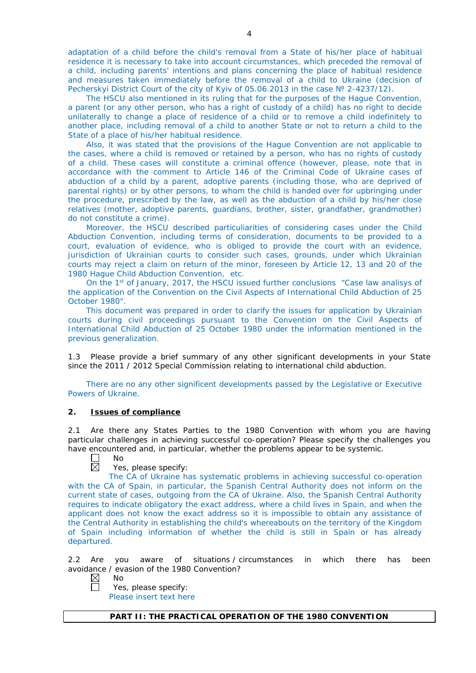adaptation of a child before the child's removal from a State of his/her place of habitual residence it is necessary to take into account circumstances, which preceded the removal of a child, including parents' intentions and plans concerning the place of habitual residence and measures taken immediately before the removal of a child to Ukraine (decision of Pecherskyi District Court of the city of Kyiv of 05.06.2013 in the case Nº 2-4237/12).

The HSCU also mentioned in its ruling that for the purposes of the Hague Convention, a parent (or any other person, who has a right of custody of a child) has no right to decide unilaterally to change a place of residence of a child or to remove a child indefinitely to another place, including removal of a child to another State or not to return a child to the State of a place of his/her habitual residence.

Also, it was stated that the provisions of the Hague Convention are not applicable to the cases, where a child is removed or retained by a person, who has no rights of custody of a child. These cases will constitute a criminal offence (however, please, note that in accordance with the comment to Article 146 of the Criminal Code of Ukraine cases of abduction of a child by a parent, adoptive parents (including those, who are deprived of parental rights) or by other persons, to whom the child is handed over for upbringing under the procedure, prescribed by the law, as well as the abduction of a child by his/her close relatives (mother, adoptive parents, guardians, brother, sister, grandfather, grandmother) do not constitute a crime).

Moreover, the HSCU described particuliarities of considering cases under the Child Abduction Convention, including terms of consideration, documents to be provided to a court, evaluation of evidence, who is obliged to provide the court with an evidence, jurisdiction of Ukrainian courts to consider such cases, grounds, under which Ukrainian courts may reject a claim on return of the minor, foreseen by Article 12, 13 and 20 of the 1980 Hague Child Abduction Convention, etc.

On the 1<sup>st</sup> of January, 2017, the HSCU issued further conclusions "Case law analisys of the application of the Convention on the Civil Aspects of International Child Abduction of 25 October 1980".

This document was prepared in order to clarify the issues for application by Ukrainian courts during civil proceedings pursuant to the Convention on the Civil Aspects of International Child Abduction of 25 October 1980 under the information mentioned in the previous generalization.

1.3 Please provide a brief summary of any other significant developments in your State since the 2011 / 2012 Special Commission relating to international child abduction.

There are no any other significent developments passed by the Legislative or Executive Powers of Ukraine.

### **2. Issues of compliance**

2.1 Are there any States Parties to the 1980 Convention with whom you are having particular challenges in achieving successful co-operation? Please specify the challenges you have encountered and, in particular, whether the problems appear to be systemic.

No  $\overline{\boxtimes}$ 

## Yes, please specify:

The CA of Ukraine has systematic problems in achieving successful co-operation with the CA of Spain, in particular, the Spanish Central Authority does not inform on the current state of cases, outgoing from the CA of Ukraine. Also, the Spanish Central Authority requires to indicate obligatory the exact address, where a child lives in Spain, and when the applicant does not know the exact address so it is impossible to obtain any assistance of the Central Authority in establishing the child's whereabouts on the territory of the Kingdom of Spain including information of whether the child is still in Spain or has already departured.

2.2 Are you aware of situations / circumstances in which there has been avoidance / evasion of the 1980 Convention?

 $\boxtimes$ No

Yes, please specify: Please insert text here

**PART II: THE PRACTICAL OPERATION OF THE 1980 CONVENTION**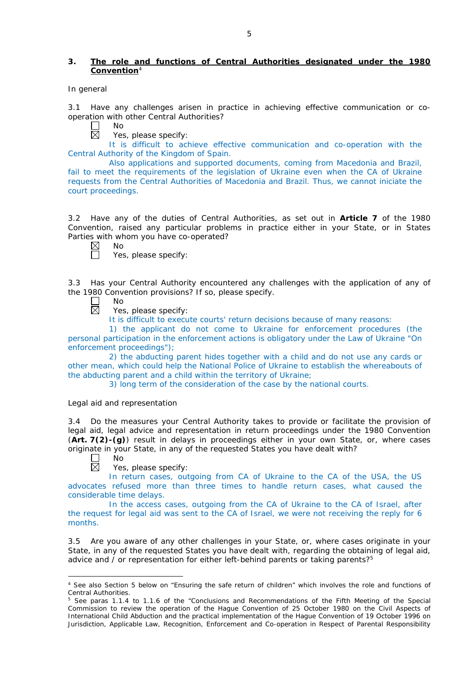## **3. The role and functions of Central Authorities designated under the 1980 Convention**<sup>4</sup>

### *In general*

3.1 Have any challenges arisen in practice in achieving effective communication or cooperation with other Central Authorities?

No  $\boxtimes$ 

Yes, please specify:

It is difficult to achieve effective communication and co-operation with the Central Authority of the Kingdom of Spain.

Also applications and supported documents, coming from Macedonia and Brazil, fail to meet the requirements of the legislation of Ukraine even when the CA of Ukraine requests from the Central Authorities of Macedonia and Brazil. Thus, we cannot iniciate the court proceedings.

3.2 Have any of the duties of Central Authorities, as set out in **Article 7** of the 1980 Convention, raised any particular problems in practice either in your State, or in States Parties with whom you have co-operated?

No

帀

Yes, please specify:

3.3 Has your Central Authority encountered any challenges with the application of any of the 1980 Convention provisions? If so, please specify.

 $\Box$ No

 $\overline{\boxtimes}$ Yes, please specify:

It is difficult to execute courts' return decisions because of many reasons:

1) the applicant do not come to Ukraine for enforcement procedures (the personal participation in the enforcement actions is obligatory under the Law of Ukraine "On enforcement proceedings");

2) the abducting parent hides together with a child and do not use any cards or other mean, which could help the National Police of Ukraine to establish the whereabouts of the abducting parent and a child within the territory of Ukraine;

3) long term of the consideration of the case by the national courts.

## *Legal aid and representation*

3.4 Do the measures your Central Authority takes to provide or facilitate the provision of legal aid, legal advice and representation in return proceedings under the 1980 Convention (**Art. 7(2)-(g)**) result in delays in proceedings either in your own State, or, where cases originate in your State, in any of the requested States you have dealt with? No

 $\Box$  $\overline{\boxtimes}$ 

-

Yes, please specify:

In return cases, outgoing from CA of Ukraine to the CA of the USA, the US advocates refused more than three times to handle return cases, what caused the considerable time delays.

In the access cases, outgoing from the CA of Ukraine to the CA of Israel, after the request for legal aid was sent to the CA of Israel, we were not receiving the reply for 6 months.

3.5 Are you aware of any other challenges in your State, or, where cases originate in your State, in any of the requested States you have dealt with, regarding the obtaining of legal aid, advice and / or representation for either left-behind parents or taking parents?<sup>5</sup>

<sup>4</sup> See also Section 5 below on "Ensuring the safe return of children" which involves the role and functions of Central Authorities.

<sup>&</sup>lt;sup>5</sup> See paras 1.1.4 to 1.1.6 of the "Conclusions and Recommendations of the Fifth Meeting of the Special Commission to review the operation of the *Hague Convention of 25 October 1980 on the Civil Aspects of International Child Abduction* and the practical implementation of the *Hague Convention of 19 October 1996 on Jurisdiction, Applicable Law, Recognition, Enforcement and Co-operation in Respect of Parental Responsibility*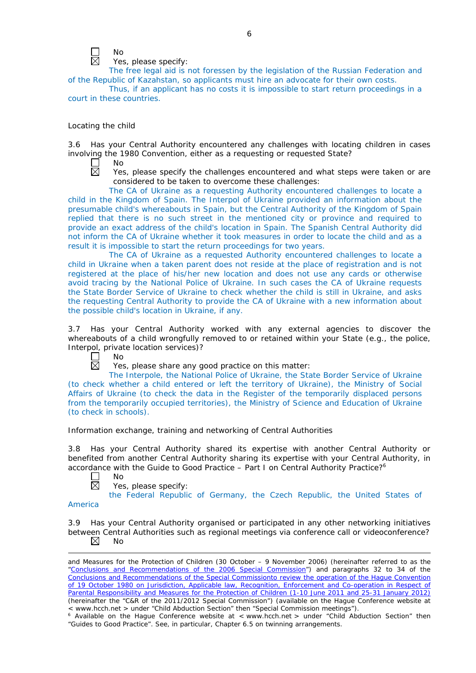

Yes, please specify:

The free legal aid is not foressen by the legislation of the Russian Federation and of the Republic of Kazahstan, so applicants must hire an advocate for their own costs.

Thus, if an applicant has no costs it is impossible to start return proceedings in a court in these countries.

## *Locating the child*

3.6 Has your Central Authority encountered any challenges with locating children in cases involving the 1980 Convention, either as a requesting or requested State?

 $\Box$  $\overline{\boxtimes}$  No

Yes, please specify the challenges encountered and what steps were taken or are considered to be taken to overcome these challenges:

The CA of Ukraine as a requesting Authority encountered challenges to locate a child in the Kingdom of Spain. The Interpol of Ukraine provided an information about the presumable child's whereabouts in Spain, but the Central Authority of the Kingdom of Spain replied that there is no such street in the mentioned city or province and required to provide an exact address of the child's location in Spain. The Spanish Central Authority did not inform the CA of Ukraine whether it took measures in order to locate the child and as a result it is impossible to start the return proceedings for two years.

The CA of Ukraine as a requested Authority encountered challenges to locate a child in Ukraine when a taken parent does not reside at the place of registration and is not registered at the place of his/her new location and does not use any cards or otherwise avoid tracing by the National Police of Ukraine. In such cases the CA of Ukraine requests the State Border Service of Ukraine to check whether the child is still in Ukraine, and asks the requesting Central Authority to provide the CA of Ukraine with a new information about the possible child's location in Ukraine, if any.

3.7 Has your Central Authority worked with any external agencies to discover the whereabouts of a child wrongfully removed to or retained within your State (*e.g.*, the police, Interpol, private location services)?

 $\Box$ No  $\overline{\boxtimes}$ 

Yes, please share any good practice on this matter:

The Interpole, the National Police of Ukraine, the State Border Service of Ukraine (to check whether a child entered or left the territory of Ukraine), the Ministry of Social Affairs of Ukraine (to check the data in the Register of the temporarily displaced persons from the temporarily occupied territories), the Ministry of Science and Education of Ukraine (to check in schools).

*Information exchange, training and networking of Central Authorities*

3.8 Has your Central Authority shared its expertise with another Central Authority or benefited from another Central Authority sharing its expertise with your Central Authority, in accordance with the Guide to Good Practice – Part I on Central Authority Practice?6

- No 反
	- Yes, please specify:

the Federal Republic of Germany, the Czech Republic, the United States of

### America

<u>.</u>

3.9 Has your Central Authority organised or participated in any other networking initiatives between Central Authorities such as regional meetings via conference call or videoconference?  $\boxtimes$ No

*and Measures for the Protection of Children* (30 October – 9 November 2006) (hereinafter referred to as the ["Conclusions and Recommendations of the 2006 Special Commission"](https://assets.hcch.net/upload/concl28sc5_e.pdf)) and paragraphs 32 to 34 of the [Conclusions and Recommendations of the Special Commissionto review the operation of the Hague Convention](https://assets.hcch.net/upload/wop/concl28sc6_e.pdf)  of *[19 October 1980 on Jurisdiction, Applicable law, Recognition, Enforcement and Co-operation in Respect of](https://assets.hcch.net/upload/wop/concl28sc6_e.pdf)  [Parental Responsibility and Measures for the Protection of Children](https://assets.hcch.net/upload/wop/concl28sc6_e.pdf)* (1-10 June 2011 and 25-31 January 2012) (hereinafter the "C&R of the 2011/2012 Special Commission") (available on the Hague Conference website at

<sup>&</sup>lt; www.hcch.net > under "Child Abduction Section" then "Special Commission meetings"). 6 Available on the Hague Conference website at < www.hcch.net > under "Child Abduction Section" then "Guides to Good Practice". See, in particular, Chapter 6.5 on twinning arrangements.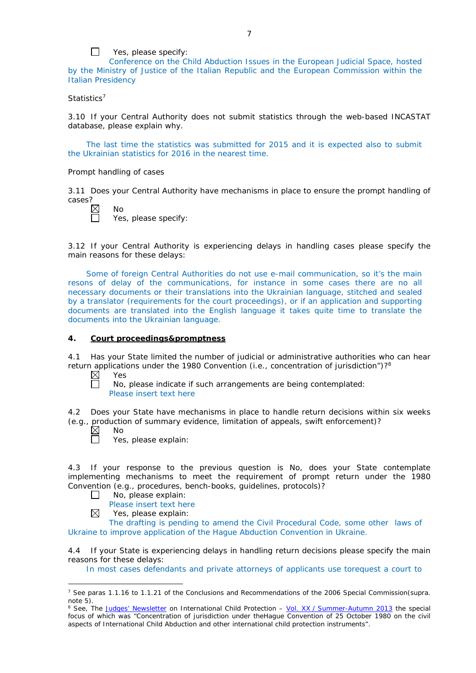

Conference on the Child Abduction Issues in the European Judicial Space, hosted by the Ministry of Justice of the Italian Republic and the European Commission within the Italian Presidency

## *Statistics*<sup>7</sup>

 $\Box$ 

3.10 If your Central Authority does not submit statistics through the web-based INCASTAT database, please explain why.

The last time the statistics was submitted for 2015 and it is expected also to submit the Ukrainian statistics for 2016 in the nearest time.

### *Prompt handling of cases*

3.11 Does your Central Authority have mechanisms in place to ensure the prompt handling of cases?

| ⋉ | No |
|---|----|

 $\Box$ 

Yes, please specify:

3.12 If your Central Authority is experiencing delays in handling cases please specify the main reasons for these delays:

Some of foreign Central Authorities do not use e-mail communication, so it's the main resons of delay of the communications, for instance in some cases there are no all necessary documents or their translations into the Ukrainian language, stitched and sealed by a translator (requirements for the court proceedings), or if an application and supporting documents are translated into the English language it takes quite time to translate the documents into the Ukrainian language.

### **4. Court proceedings&promptness**

4.1 Has your State limited the number of judicial or administrative authorities who can hear return applications under the 1980 Convention (*i.e.*, concentration of jurisdiction")?8

 $\boxtimes$ Yes  $\Box$ 

No, please indicate if such arrangements are being contemplated: Please insert text here

4.2 Does your State have mechanisms in place to handle return decisions within six weeks (*e.g.*, production of summary evidence, limitation of appeals, swift enforcement)?

 $\boxtimes$ No

 $\boxtimes$ 

-

Yes, please explain:

4.3 If your response to the previous question is No, does your State contemplate implementing mechanisms to meet the requirement of prompt return under the 1980 Convention (*e.g.*, procedures, bench-books, guidelines, protocols)?

- No, please explain:  $\Box$ 
	- Please insert text here
		- Yes, please explain:

The drafting is pending to amend the Civil Procedural Code, some other laws of Ukraine to improve application of the Hague Abduction Convention in Ukraine.

4.4 If your State is experiencing delays in handling return decisions please specify the main reasons for these delays:

In most cases defendants and private attorneys of applicants use torequest a court to

<sup>7</sup> See paras 1.1.16 to 1.1.21 of the Conclusions and Recommendations of the 2006 Special Commission(*supra.*  note 5).

<sup>8</sup> See, *The [Judges' Newsletter](https://www.hcch.net/en/instruments/conventions/publications2/judges-newsletter)* on International Child Protection – Vol. XX / [Summer-Autumn 2013](https://assets.hcch.net/upload/newsletter/nl2013tome20en.pdf) the special focus of which was "Concentration of jurisdiction under the*Hague Convention of 25 October 1980 on the civil aspects of International Child Abduction* and other international child protection instruments".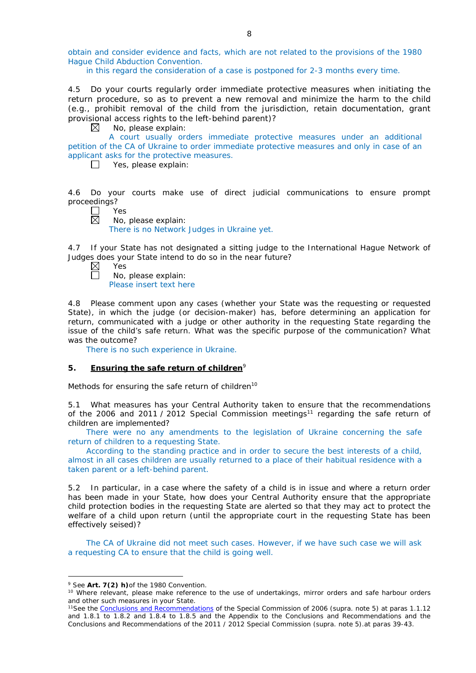obtain and consider evidence and facts, which are not related to the provisions of the 1980 Hague Child Abduction Convention.

in this regard the consideration of a case is postponed for 2-3 months every time.

4.5 Do your courts regularly order immediate protective measures when initiating the return procedure, so as to prevent a new removal and minimize the harm to the child (*e.g.*, prohibit removal of the child from the jurisdiction, retain documentation, grant provisional access rights to the left-behind parent)?

 $\boxtimes$ No, please explain:

A court usually orders immediate protective measures under an additional petition of the CA of Ukraine to order immediate protective measures and only in case of an applicant asks for the protective measures.

 $\Box$ Yes, please explain:

4.6 Do your courts make use of direct judicial communications to ensure prompt proceedings?

 $\perp$ Yes 岗

No, please explain:

There is no Network Judges in Ukraine yet.

4.7 If your State has not designated a sitting judge to the International Hague Network of Judges does your State intend to do so in the near future?

 $\boxtimes$ Yes  $\Box$ No, please explain: Please insert text here

4.8 Please comment upon any cases (whether your State was the requesting or requested State), in which the judge (or decision-maker) has, before determining an application for return, communicated with a judge or other authority in the requesting State regarding the issue of the child's safe return. What was the specific purpose of the communication? What was the outcome?

There is no such experience in Ukraine.

### **5. Ensuring the safe return of children**<sup>9</sup>

*Methods for ensuring the safe return of children*<sup>10</sup>

5.1 What measures has your Central Authority taken to ensure that the recommendations of the 2006 and 2011 / 2012 Special Commission meetings<sup>11</sup> regarding the safe return of children are implemented?

There were no any amendments to the legislation of Ukraine concerning the safe return of children to a requesting State.

According to the standing practice and in order to secure the best interests of a child, almost in all cases children are usually returned to a place of their habitual residence with a taken parent or a left-behind parent.

5.2 In particular, in a case where the safety of a child is in issue and where a return order has been made in your State, how does your Central Authority ensure that the appropriate child protection bodies in the *requesting* State are alerted so that they may act to protect the welfare of a child upon return (until the appropriate court in the requesting State has been effectively seised)?

The CA of Ukraine did not meet such cases. However, if we have such case we will ask a requesting CA to ensure that the child is going well.

-

<sup>9</sup> See **Art. 7(2)** *h)*of the 1980 Convention.

<sup>&</sup>lt;sup>10</sup> Where relevant, please make reference to the use of undertakings, mirror orders and safe harbour orders and other such measures in your State.

<sup>11</sup>See the [Conclusions and Recommendations](https://assets.hcch.net/upload/concl28sc5_e.pdf) of the Special Commission of 2006 (*supra.* note 5) at paras 1.1.12 and 1.8.1 to 1.8.2 and 1.8.4 to 1.8.5 and the Appendix to the Conclusions and Recommendations and the [Conclusions and Recommendations of the 2011](https://assets.hcch.net/upload/wop/concl28sc6_e.pdf) / 2012 Special Commission (*supra.* note 5).at paras 39-43.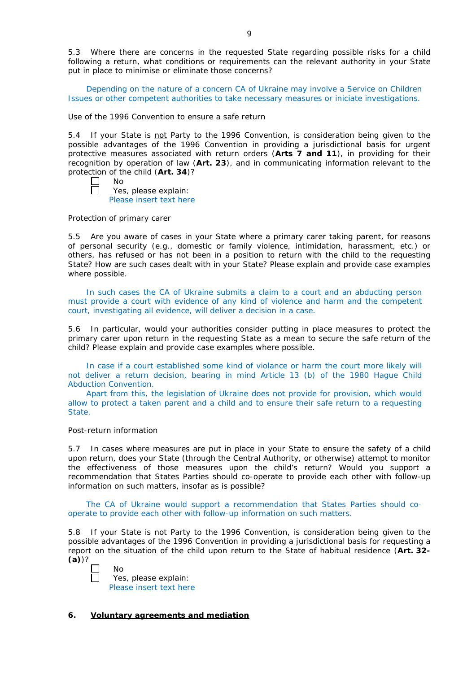5.3 Where there are concerns in the requested State regarding possible risks for a child following a return, what conditions or requirements can the relevant authority in your State put in place to minimise or eliminate those concerns?

Depending on the nature of a concern CA of Ukraine may involve a Service on Children Issues or other competent authorities to take necessary measures or iniciate investigations.

#### *Use of the 1996 Convention to ensure a safe return*

5.4 If your State is not Party to the 1996 Convention, is consideration being given to the possible advantages of the 1996 Convention in providing a jurisdictional basis for urgent protective measures associated with return orders (**Arts 7 and 11**), in providing for their recognition by operation of law (**Art. 23**), and in communicating information relevant to the protection of the child (**Art. 34**)?

 $\Box$ No

П

Yes, please explain: Please insert text here

### *Protection of primary carer*

5.5 Are you aware of cases in your State where a primary carer taking parent, for reasons of personal security (*e.g.*, domestic or family violence, intimidation, harassment, etc.) or others, has refused or has not been in a position to return with the child to the requesting State? How are such cases dealt with in your State? Please explain and provide case examples where possible.

In such cases the CA of Ukraine submits a claim to a court and an abducting person must provide a court with evidence of any kind of violence and harm and the competent court, investigating all evidence, will deliver a decision in a case.

5.6 In particular, would your authorities consider putting in place measures to protect the primary carer upon return in the requesting State as a mean to secure the safe return of the child? Please explain and provide case examples where possible.

In case if a court established some kind of violance or harm the court more likely will not deliver a return decision, bearing in mind Article 13 (b) of the 1980 Hague Child Abduction Convention.

Apart from this, the legislation of Ukraine does not provide for provision, which would allow to protect a taken parent and a child and to ensure their safe return to a requesting State.

### *Post-return information*

5.7 In cases where measures are put in place in your State to ensure the safety of a child upon return, does your State (through the Central Authority, or otherwise) attempt to monitor the effectiveness of those measures upon the child's return? Would you support a recommendation that States Parties should co-operate to provide each other with follow-up information on such matters, insofar as is possible?

The CA of Ukraine would support a recommendation that States Parties should cooperate to provide each other with follow-up information on such matters.

5.8 If your State is not Party to the 1996 Convention, is consideration being given to the possible advantages of the 1996 Convention in providing a jurisdictional basis for requesting a report on the situation of the child upon return to the State of habitual residence (**Art. 32- (a)**)?

| Nο   |
|------|
| Yes  |
| Dloa |

Yes, please explain: Please insert text here

# **6. Voluntary agreements and mediation**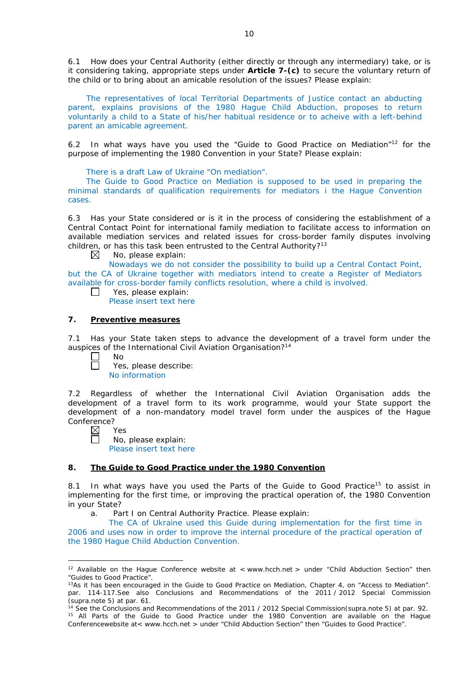6.1 How does your Central Authority (either directly or through any intermediary) take, or is it considering taking, appropriate steps under **Article 7-(c)** to secure the voluntary return of the child or to bring about an amicable resolution of the issues? Please explain:

The representatives of local Territorial Departments of Justice contact an abducting parent, explains provisions of the 1980 Hague Child Abduction, proposes to return voluntarily a child to a State of his/her habitual residence or to acheive with a left-behind parent an amicable agreement.

6.2 In what ways have you used the "Guide to Good Practice on Mediation"12 for the purpose of implementing the 1980 Convention in your State? Please explain:

There is a draft Law of Ukraine "On mediation".

The Guide to Good Practice on Mediation is supposed to be used in preparing the minimal standards of qualification requirements for mediators i the Hague Convention cases.

6.3 Has your State considered or is it in the process of considering the establishment of a Central Contact Point for international family mediation to facilitate access to information on available mediation services and related issues for cross-border family disputes involving children, or has this task been entrusted to the Central Authority?<sup>13</sup>

 $\boxtimes$ No, please explain:

Nowadays we do not consider the possibility to build up a Central Contact Point, but the CA of Ukraine together with mediators intend to create a Register of Mediators available for cross-border family conflicts resolution, where a child is involved.  $\Box$ 

Yes, please explain:

Please insert text here

# **7. Preventive measures**

7.1 Has your State taken steps to advance the development of a travel form under the auspices of the International Civil Aviation Organisation?<sup>14</sup>

 $\Box$ No

Yes, please describe: No information

7.2 Regardless of whether the International Civil Aviation Organisation adds the development of a travel form to its work programme, would your State support the development of a non-mandatory model travel form under the auspices of the Hague Conference?

 $\boxtimes$ Yes

<u>.</u>

No, please explain:

Please insert text here

# **8. The Guide to Good Practice under the 1980 Convention**

8.1 In what ways have you used the Parts of the Guide to Good Practice<sup>15</sup> to assist in implementing for the first time, or improving the practical operation of, the 1980 Convention in your State?

a. Part I on Central Authority Practice. Please explain:

The CA of Ukraine used this Guide during implementation for the first time in 2006 and uses now in order to improve the internal procedure of the practical operation of the 1980 Hague Child Abduction Convention.

<sup>&</sup>lt;sup>12</sup> Available on the Hague Conference website at < www.hcch.net > under "Child Abduction Section" then "Guides to Good Practice".

<sup>&</sup>lt;sup>13</sup>As it has been encouraged in the Guide to Good Practice on Mediation, Chapter 4, on "Access to Mediation". par. 114-117.See also [Conclusions and Recommendations of the 2011](https://assets.hcch.net/upload/wop/concl28sc6_e.pdf) / 2012 Special Commission (*supra.*note 5) at par. 61.

<sup>14</sup> See the [Conclusions and Recommendations of the 2011](https://assets.hcch.net/upload/wop/concl28sc6_e.pdf) / 2012 Special Commission(*supra.*note 5) at par. 92. <sup>15</sup> All Parts of the Guide to Good Practice under the 1980 Convention are available on the Hague Conferencewebsite at< www.hcch.net > under "Child Abduction Section" then "Guides to Good Practice".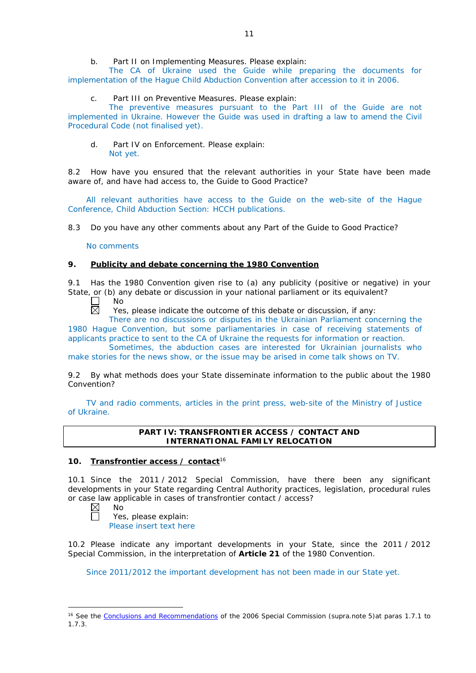## b. Part II on Implementing Measures. Please explain:

The CA of Ukraine used the Guide while preparing the documents for implementation of the Hague Child Abduction Convention after accession to it in 2006.

c. Part III on Preventive Measures. Please explain:

The preventive measures pursuant to the Part III of the Guide are not implemented in Ukraine. However the Guide was used in drafting a law to amend the Civil Procedural Code (not finalised yet).

d. Part IV on Enforcement. Please explain: Not yet.

8.2 How have you ensured that the relevant authorities in your State have been made aware of, and have had access to, the Guide to Good Practice?

All relevant authorities have access to the Guide on the web-site of the Hague Conference, Child Abduction Section: HCCH publications.

8.3 Do you have any other comments about any Part of the Guide to Good Practice?

No comments

# **9. Publicity and debate concerning the 1980 Convention**

9.1 Has the 1980 Convention given rise to (a) any publicity (positive or negative) in your State, or (b) any debate or discussion in your national parliament or its equivalent?

No  $\Box$  $\overline{\boxtimes}$ 

Yes, please indicate the outcome of this debate or discussion, if any:

There are no discussions or disputes in the Ukrainian Parliament concerning the 1980 Hague Convention, but some parliamentaries in case of receiving statements of applicants practice to sent to the CA of Ukraine the requests for information or reaction.

Sometimes, the abduction cases are interested for Ukrainian journalists who make stories for the news show, or the issue may be arised in come talk shows on TV.

9.2 By what methods does your State disseminate information to the public about the 1980 Convention?

TV and radio comments, articles in the print press, web-site of the Ministry of Justice of Ukraine.

## **PART IV: TRANSFRONTIER ACCESS / CONTACT AND INTERNATIONAL FAMILY RELOCATION**

## **10. Transfrontier access / contact**<sup>16</sup>

10.1 Since the 2011 / 2012 Special Commission, have there been any significant developments in your State regarding Central Authority practices, legislation, procedural rules or case law applicable in cases of transfrontier contact / access?<br>  $\boxtimes$  No<br>
Yes, please explain:

No

-

Yes, please explain: Please insert text here

10.2 Please indicate any important developments in your State, since the 2011 / 2012 Special Commission, in the interpretation of **Article 21** of the 1980 Convention.

Since 2011/2012 the important development has not been made in our State yet.

<sup>&</sup>lt;sup>16</sup> See the [Conclusions and Recommendations](https://assets.hcch.net/upload/concl28sc5_e.pdf) of the 2006 Special Commission (*supra*.note 5)at paras 1.7.1 to 1.7.3.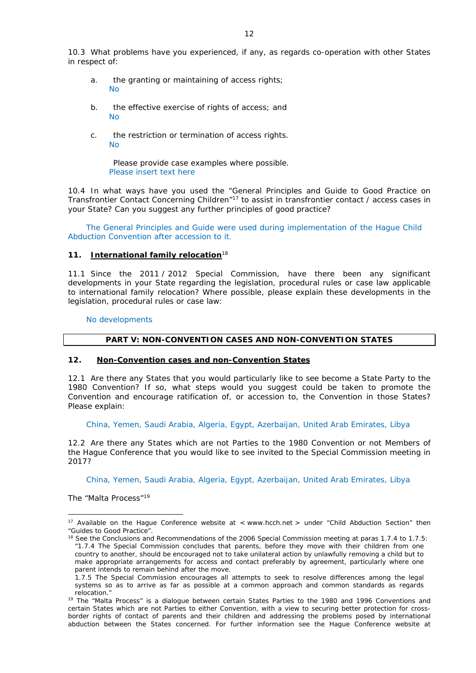- a. the granting or maintaining of access rights; No
- b. the effective exercise of rights of access; and  $N<sub>0</sub>$
- c. the restriction or termination of access rights. No

Please provide case examples where possible. Please insert text here

10.4 In what ways have you used the "General Principles and Guide to Good Practice on Transfrontier Contact Concerning Children"17 to assist in transfrontier contact / access cases in your State? Can you suggest any further principles of good practice?

The General Principles and Guide were used during implementation of the Hague Child Abduction Convention after accession to it.

## **11. International family relocation**<sup>18</sup>

11.1 Since the 2011 / 2012 Special Commission, have there been any significant developments in your State regarding the legislation, procedural rules or case law applicable to international family relocation? Where possible, please explain these developments in the legislation, procedural rules or case law:

No developments

## **PART V: NON-CONVENTION CASES AND NON-CONVENTION STATES**

## **12. Non-Convention cases and non-Convention States**

12.1 Are there any States that you would particularly like to see become a State Party to the 1980 Convention? If so, what steps would you suggest could be taken to promote the Convention and encourage ratification of, or accession to, the Convention in those States? Please explain:

China, Yemen, Saudi Arabia, Algeria, Egypt, Azerbaijan, United Arab Emirates, Libya

12.2 Are there any States which are not Parties to the 1980 Convention or not Members of the Hague Conference that you would like to see invited to the Special Commission meeting in 2017?

China, Yemen, Saudi Arabia, Algeria, Egypt, Azerbaijan, United Arab Emirates, Libya

*The "Malta Process"*<sup>19</sup>

<u>.</u>

<sup>&</sup>lt;sup>17</sup> Available on the Hague Conference website at < www.hcch.net > under "Child Abduction Section" then "Guides to Good Practice".

<sup>&</sup>lt;sup>18</sup> See the Conclusions and Recommendations of the 2006 Special Commission meeting at paras 1.7.4 to 1.7.5: *"*1.7.4 The Special Commission concludes that parents, before they move with their children from one country to another, should be encouraged not to take unilateral action by unlawfully removing a child but to make appropriate arrangements for access and contact preferably by agreement, particularly where one parent intends to remain behind after the move.

<sup>1.7.5</sup> The Special Commission encourages all attempts to seek to resolve differences among the legal systems so as to arrive as far as possible at a common approach and common standards as regards relocation."

<sup>&</sup>lt;sup>19</sup> The "Malta Process" is a dialogue between certain States Parties to the 1980 and 1996 Conventions and certain States which are not Parties to either Convention, with a view to securing better protection for crossborder rights of contact of parents and their children and addressing the problems posed by international abduction between the States concerned. For further information see the Hague Conference website at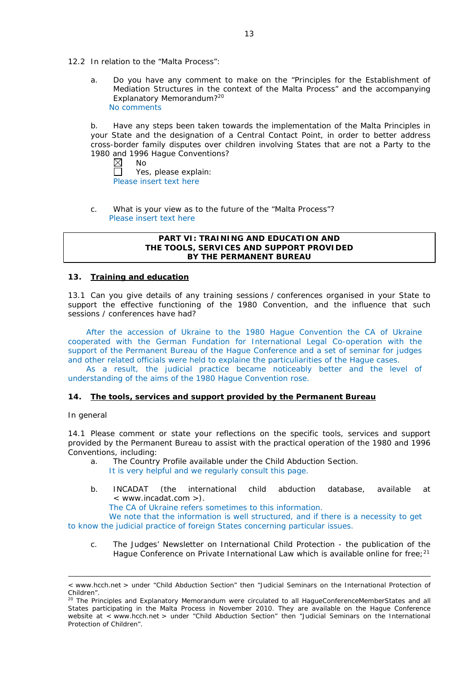- 12.2 In relation to the "Malta Process":
	- a. Do you have any comment to make on the "Principles for the Establishment of Mediation Structures in the context of the Malta Process" and the accompanying Explanatory Memorandum?20 No comments

b. Have any steps been taken towards the implementation of the Malta Principles in your State and the designation of a Central Contact Point, in order to better address cross-border family disputes over children involving States that are not a Party to the 1980 and 1996 Hague Conventions?<br>
M No

No  $\Box$ Yes, please explain: Please insert text here

c. What is your view as to the future of the "Malta Process"? Please insert text here

### **PART VI: TRAINING AND EDUCATION AND THE TOOLS, SERVICES AND SUPPORT PROVIDED BY THE PERMANENT BUREAU**

## **13. Training and education**

13.1 Can you give details of any training sessions / conferences organised in your State to support the effective functioning of the 1980 Convention, and the influence that such sessions / conferences have had?

After the accession of Ukraine to the 1980 Hague Convention the CA of Ukraine cooperated with the German Fundation for International Legal Co-operation with the support of the Permanent Bureau of the Hague Conference and a set of seminar for judges and other related officials were held to explaine the particuliarities of the Hague cases.

As a result, the judicial practice became noticeably better and the level of understanding of the aims of the 1980 Hague Convention rose.

### **14. The tools, services and support provided by the Permanent Bureau**

## *In general*

-

14.1 Please comment or state your reflections on the specific tools, services and support provided by the Permanent Bureau to assist with the practical operation of the 1980 and 1996 Conventions, including:

- a. The Country Profile available under the Child Abduction Section.
	- It is very helpful and we regularly consult this page.
- b. INCADAT (the international child abduction database, available at < www.incadat.com >).

The CA of Ukraine refers sometimes to this information.

We note that the information is well structured, and if there is a necessity to get to know the judicial practice of foreign States concerning particular issues.

c. *The Judges' Newsletter* on International Child Protection - the publication of the Hague Conference on Private International Law which is available online for free;<sup>21</sup>

<sup>&</sup>lt; www.hcch.net > under "Child Abduction Section" then "Judicial Seminars on the International Protection of Children".

<sup>20</sup> The Principles and Explanatory Memorandum were circulated to all HagueConferenceMemberStates and all States participating in the Malta Process in November 2010. They are available on the Hague Conference website at < www.hcch.net > under "Child Abduction Section" then "Judicial Seminars on the International Protection of Children".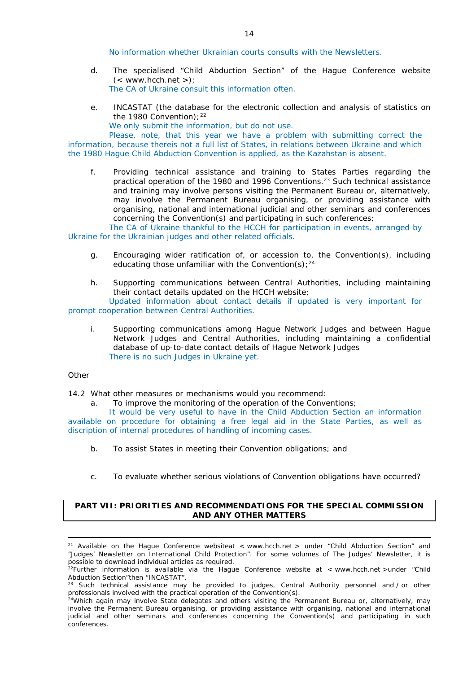No information whether Ukrainian courts consults with the Newsletters.

- d. The specialised "Child Abduction Section" of the Hague Conference website  $(<$  www.hcch.net >); The CA of Ukraine consult this information often.
- e. INCASTAT (the database for the electronic collection and analysis of statistics on the 1980 Convention):  $22$ 
	- We only submit the information, but do not use.

Please, note, that this year we have a problem with submitting correct the information, because thereis not a full list of States, in relations between Ukraine and which the 1980 Hague Child Abduction Convention is applied, as the Kazahstan is absent.

f. Providing technical assistance and training to States Parties regarding the practical operation of the 1980 and 1996 Conventions.23 Such technical assistance and training may involve persons visiting the Permanent Bureau or, alternatively, may involve the Permanent Bureau organising, or providing assistance with organising, national and international judicial and other seminars and conferences concerning the Convention(s) and participating in such conferences;

The CA of Ukraine thankful to the HCCH for participation in events, arranged by Ukraine for the Ukrainian judges and other related officials.

- g. Encouraging wider ratification of, or accession to, the Convention(s), including educating those unfamiliar with the Convention(s);  $24$
- h. Supporting communications between Central Authorities, including maintaining their contact details updated on the HCCH website; Updated information about contact details if updated is very important for

# prompt cooperation between Central Authorities.

i. Supporting communications among Hague Network Judges and between Hague Network Judges and Central Authorities, including maintaining a confidential database of up-to-date contact details of Hague Network Judges There is no such Judges in Ukraine yet.

### *Other*

<u>.</u>

14.2 What other measures or mechanisms would you recommend:

a. To improve the monitoring of the operation of the Conventions;

It would be very useful to have in the Child Abduction Section an information available on procedure for obtaining a free legal aid in the State Parties, as well as discription of internal procedures of handling of incoming cases.

- b. To assist States in meeting their Convention obligations; and
- c. To evaluate whether serious violations of Convention obligations have occurred?

## **PART VII: PRIORITIES AND RECOMMENDATIONS FOR THE SPECIAL COMMISSION AND ANY OTHER MATTERS**

<sup>&</sup>lt;sup>21</sup> Available on the Hague Conference websiteat < www.hcch.net > under "Child Abduction Section" and "Judges' Newsletter on International Child Protection". For some volumes of *The Judges' Newsletter*, it is possible to download individual articles as required. 22Further information is available via the Hague Conference website at < www.hcch.net >under "Child

Abduction Section"then "INCASTAT".

Such technical assistance may be provided to judges, Central Authority personnel and / or other professionals involved with the practical operation of the Convention(s).

<sup>&</sup>lt;sup>24</sup>Which again may involve State delegates and others visiting the Permanent Bureau or, alternatively, may involve the Permanent Bureau organising, or providing assistance with organising, national and international judicial and other seminars and conferences concerning the Convention(s) and participating in such conferences.